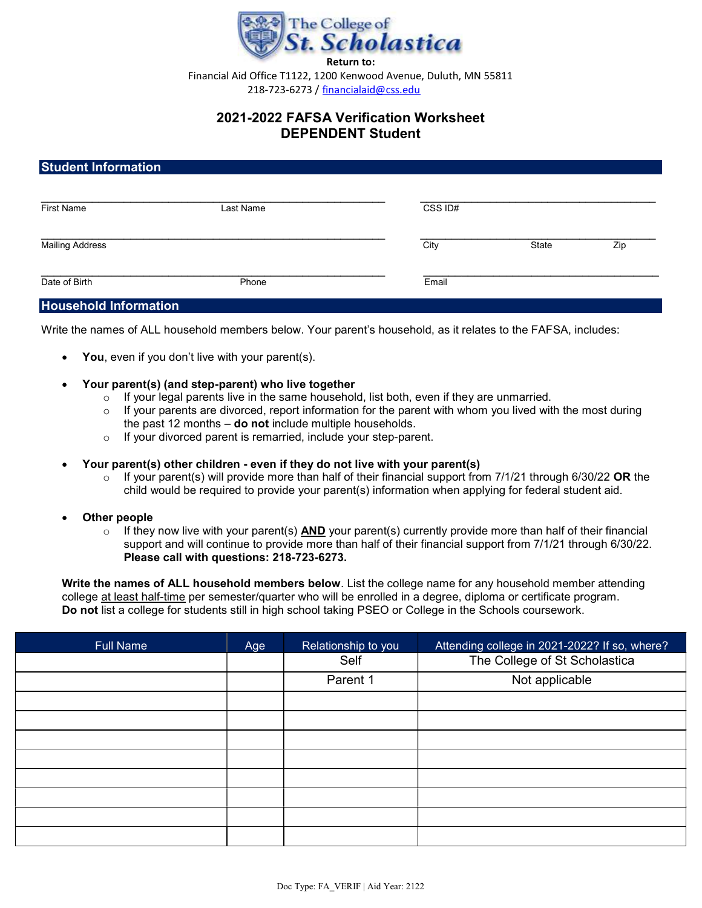

Financial Aid Office T1122, 1200 Kenwood Avenue, Duluth, MN 55811 218-723-6273 / financialaid@css.edu

# 2021-2022 FAFSA Verification Worksheet DEPENDENT Student

## Student Information

| <b>First Name</b>      | Last Name | CSS ID# |       |     |
|------------------------|-----------|---------|-------|-----|
| <b>Mailing Address</b> |           | City    | State | Zip |
| Date of Birth          | Phone     | Email   |       |     |

### Household Information

Write the names of ALL household members below. Your parent's household, as it relates to the FAFSA, includes:

- You, even if you don't live with your parent(s).
- Your parent(s) (and step-parent) who live together
	- $\circ$  If your legal parents live in the same household, list both, even if they are unmarried.
	- $\circ$  If your parents are divorced, report information for the parent with whom you lived with the most during the past 12 months  $-$  do not include multiple households.
	- $\circ$  If your divorced parent is remarried, include your step-parent.

#### Your parent(s) other children - even if they do not live with your parent(s)

- $\circ$  If your parent(s) will provide more than half of their financial support from 7/1/21 through 6/30/22 OR the child would be required to provide your parent(s) information when applying for federal student aid.
- Other people
	- $\circ$  If they now live with your parent(s) AND your parent(s) currently provide more than half of their financial support and will continue to provide more than half of their financial support from 7/1/21 through 6/30/22. Please call with questions: 218-723-6273.

Write the names of ALL household members below. List the college name for any household member attending college at least half-time per semester/quarter who will be enrolled in a degree, diploma or certificate program. Do not list a college for students still in high school taking PSEO or College in the Schools coursework.

| <b>Full Name</b> | Age | Relationship to you | Attending college in 2021-2022? If so, where? |
|------------------|-----|---------------------|-----------------------------------------------|
|                  |     | Self                | The College of St Scholastica                 |
|                  |     | Parent 1            | Not applicable                                |
|                  |     |                     |                                               |
|                  |     |                     |                                               |
|                  |     |                     |                                               |
|                  |     |                     |                                               |
|                  |     |                     |                                               |
|                  |     |                     |                                               |
|                  |     |                     |                                               |
|                  |     |                     |                                               |